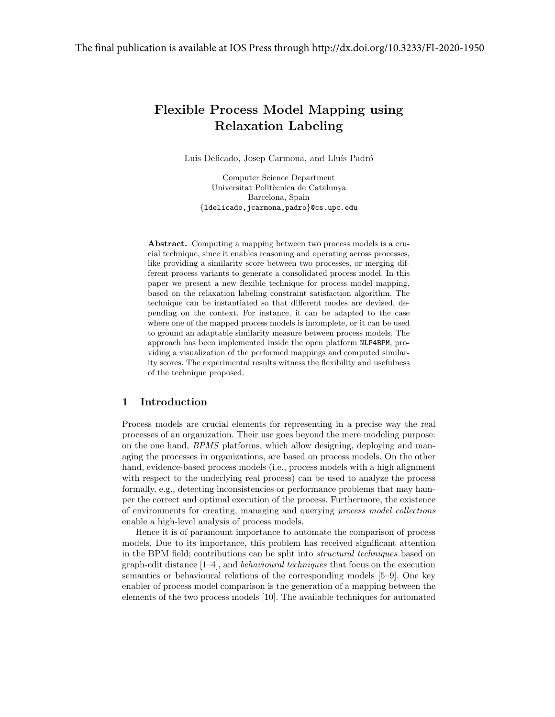# Flexible Process Model Mapping using Relaxation Labeling

Luis Delicado, Josep Carmona, and Lluís Padró

Computer Science Department Universitat Politècnica de Catalunya Barcelona, Spain {ldelicado,jcarmona,padro}@cs.upc.edu

Abstract. Computing a mapping between two process models is a crucial technique, since it enables reasoning and operating across processes, like providing a similarity score between two processes, or merging different process variants to generate a consolidated process model. In this paper we present a new flexible technique for process model mapping, based on the relaxation labeling constraint satisfaction algorithm. The technique can be instantiated so that different modes are devised, depending on the context. For instance, it can be adapted to the case where one of the mapped process models is incomplete, or it can be used to ground an adaptable similarity measure between process models. The approach has been implemented inside the open platform NLP4BPM, providing a visualization of the performed mappings and computed similarity scores. The experimental results witness the flexibility and usefulness of the technique proposed.

## 1 Introduction

Process models are crucial elements for representing in a precise way the real processes of an organization. Their use goes beyond the mere modeling purpose: on the one hand, BPMS platforms, which allow designing, deploying and managing the processes in organizations, are based on process models. On the other hand, evidence-based process models (i.e., process models with a high alignment with respect to the underlying real process) can be used to analyze the process formally, e.g., detecting inconsistencies or performance problems that may hamper the correct and optimal execution of the process. Furthermore, the existence of environments for creating, managing and querying process model collections enable a high-level analysis of process models.

Hence it is of paramount importance to automate the comparison of process models. Due to its importance, this problem has received significant attention in the BPM field; contributions can be split into structural techniques based on graph-edit distance  $[1-4]$ , and *behavioural techniques* that focus on the execution semantics or behavioural relations of the corresponding models [5–9]. One key enabler of process model comparison is the generation of a mapping between the elements of the two process models [10]. The available techniques for automated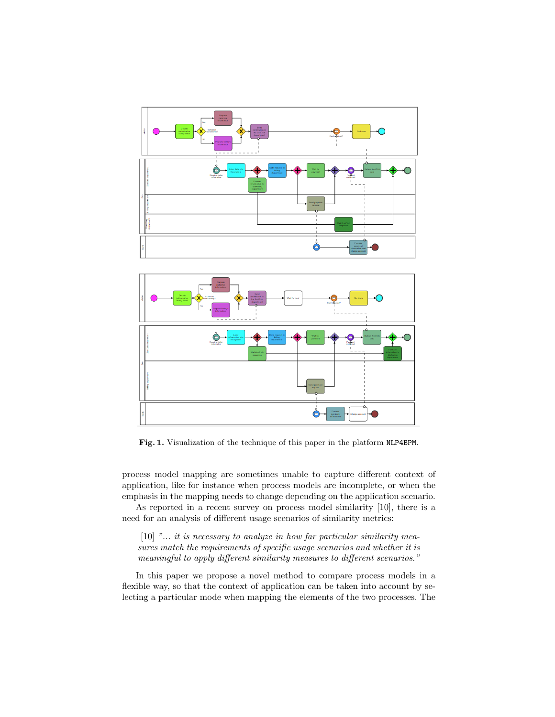



Fig. 1. Visualization of the technique of this paper in the platform NLP4BPM.

process model mapping are sometimes unable to capture different context of application, like for instance when process models are incomplete, or when the emphasis in the mapping needs to change depending on the application scenario.

As reported in a recent survey on process model similarity [10], there is a need for an analysis of different usage scenarios of similarity metrics:

[10] "... it is necessary to analyze in how far particular similarity measures match the requirements of specific usage scenarios and whether it is meaningful to apply different similarity measures to different scenarios."

In this paper we propose a novel method to compare process models in a flexible way, so that the context of application can be taken into account by selecting a particular mode when mapping the elements of the two processes. The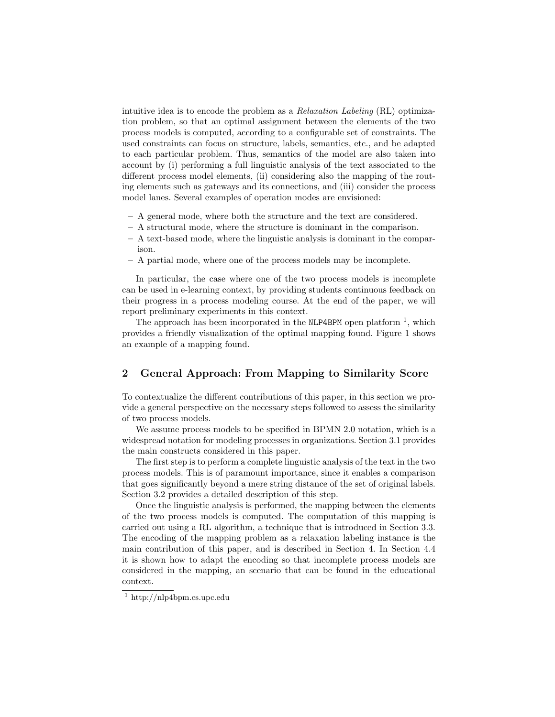intuitive idea is to encode the problem as a Relaxation Labeling (RL) optimization problem, so that an optimal assignment between the elements of the two process models is computed, according to a configurable set of constraints. The used constraints can focus on structure, labels, semantics, etc., and be adapted to each particular problem. Thus, semantics of the model are also taken into account by (i) performing a full linguistic analysis of the text associated to the different process model elements, (ii) considering also the mapping of the routing elements such as gateways and its connections, and (iii) consider the process model lanes. Several examples of operation modes are envisioned:

- A general mode, where both the structure and the text are considered.
- A structural mode, where the structure is dominant in the comparison.
- A text-based mode, where the linguistic analysis is dominant in the comparison.
- A partial mode, where one of the process models may be incomplete.

In particular, the case where one of the two process models is incomplete can be used in e-learning context, by providing students continuous feedback on their progress in a process modeling course. At the end of the paper, we will report preliminary experiments in this context.

The approach has been incorporated in the NLP4BPM open platform  $<sup>1</sup>$ , which</sup> provides a friendly visualization of the optimal mapping found. Figure 1 shows an example of a mapping found.

## 2 General Approach: From Mapping to Similarity Score

To contextualize the different contributions of this paper, in this section we provide a general perspective on the necessary steps followed to assess the similarity of two process models.

We assume process models to be specified in BPMN 2.0 notation, which is a widespread notation for modeling processes in organizations. Section 3.1 provides the main constructs considered in this paper.

The first step is to perform a complete linguistic analysis of the text in the two process models. This is of paramount importance, since it enables a comparison that goes significantly beyond a mere string distance of the set of original labels. Section 3.2 provides a detailed description of this step.

Once the linguistic analysis is performed, the mapping between the elements of the two process models is computed. The computation of this mapping is carried out using a RL algorithm, a technique that is introduced in Section 3.3. The encoding of the mapping problem as a relaxation labeling instance is the main contribution of this paper, and is described in Section 4. In Section 4.4 it is shown how to adapt the encoding so that incomplete process models are considered in the mapping, an scenario that can be found in the educational context.

<sup>1</sup> http://nlp4bpm.cs.upc.edu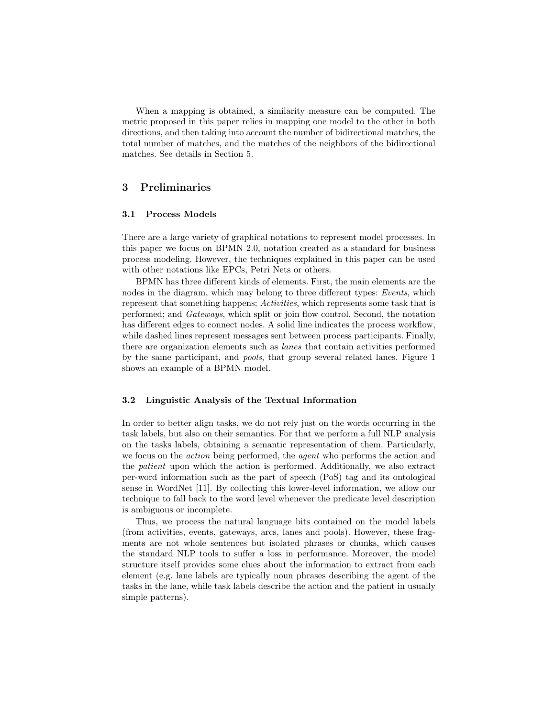When a mapping is obtained, a similarity measure can be computed. The metric proposed in this paper relies in mapping one model to the other in both directions, and then taking into account the number of bidirectional matches, the total number of matches, and the matches of the neighbors of the bidirectional matches. See details in Section 5.

## 3 Preliminaries

### 3.1 Process Models

There are a large variety of graphical notations to represent model processes. In this paper we focus on BPMN 2.0, notation created as a standard for business process modeling. However, the techniques explained in this paper can be used with other notations like EPCs, Petri Nets or others.

BPMN has three different kinds of elements. First, the main elements are the nodes in the diagram, which may belong to three different types: Events, which represent that something happens; Activities, which represents some task that is performed; and Gateways, which split or join flow control. Second, the notation has different edges to connect nodes. A solid line indicates the process workflow, while dashed lines represent messages sent between process participants. Finally, there are organization elements such as lanes that contain activities performed by the same participant, and pools, that group several related lanes. Figure 1 shows an example of a BPMN model.

#### 3.2 Linguistic Analysis of the Textual Information

In order to better align tasks, we do not rely just on the words occurring in the task labels, but also on their semantics. For that we perform a full NLP analysis on the tasks labels, obtaining a semantic representation of them. Particularly, we focus on the *action* being performed, the *agent* who performs the action and the patient upon which the action is performed. Additionally, we also extract per-word information such as the part of speech (PoS) tag and its ontological sense in WordNet [11]. By collecting this lower-level information, we allow our technique to fall back to the word level whenever the predicate level description is ambiguous or incomplete.

Thus, we process the natural language bits contained on the model labels (from activities, events, gateways, arcs, lanes and pools). However, these fragments are not whole sentences but isolated phrases or chunks, which causes the standard NLP tools to suffer a loss in performance. Moreover, the model structure itself provides some clues about the information to extract from each element (e.g. lane labels are typically noun phrases describing the agent of the tasks in the lane, while task labels describe the action and the patient in usually simple patterns).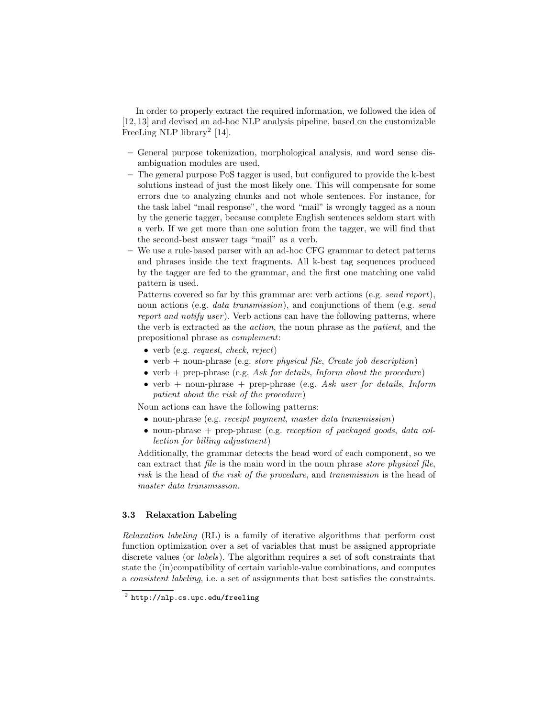In order to properly extract the required information, we followed the idea of [12, 13] and devised an ad-hoc NLP analysis pipeline, based on the customizable FreeLing NLP library<sup>2</sup> [14].

- General purpose tokenization, morphological analysis, and word sense disambiguation modules are used.
- The general purpose PoS tagger is used, but configured to provide the k-best solutions instead of just the most likely one. This will compensate for some errors due to analyzing chunks and not whole sentences. For instance, for the task label "mail response", the word "mail" is wrongly tagged as a noun by the generic tagger, because complete English sentences seldom start with a verb. If we get more than one solution from the tagger, we will find that the second-best answer tags "mail" as a verb.
- We use a rule-based parser with an ad-hoc CFG grammar to detect patterns and phrases inside the text fragments. All k-best tag sequences produced by the tagger are fed to the grammar, and the first one matching one valid pattern is used.

Patterns covered so far by this grammar are: verb actions (e.g. send report), noun actions (e.g. *data transmission*), and conjunctions of them (e.g. *send* report and notify user). Verb actions can have the following patterns, where the verb is extracted as the action, the noun phrase as the patient, and the prepositional phrase as complement:

- verb (e.g. *request, check, reject*)
- verb  $+$  noun-phrase (e.g. store physical file, Create job description)
- verb  $+$  prep-phrase (e.g. Ask for details, Inform about the procedure)
- verb + noun-phrase + prep-phrase (e.g. Ask user for details, Inform patient about the risk of the procedure)

Noun actions can have the following patterns:

- noun-phrase (e.g. *receipt payment, master data transmission*)
- noun-phrase  $+$  prep-phrase (e.g. reception of packaged goods, data collection for billing adjustment)

Additionally, the grammar detects the head word of each component, so we can extract that file is the main word in the noun phrase store physical file, risk is the head of the risk of the procedure, and transmission is the head of master data transmission.

#### 3.3 Relaxation Labeling

Relaxation labeling (RL) is a family of iterative algorithms that perform cost function optimization over a set of variables that must be assigned appropriate discrete values (or *labels*). The algorithm requires a set of soft constraints that state the (in)compatibility of certain variable-value combinations, and computes a consistent labeling, i.e. a set of assignments that best satisfies the constraints.

 $^2$  http://nlp.cs.upc.edu/freeling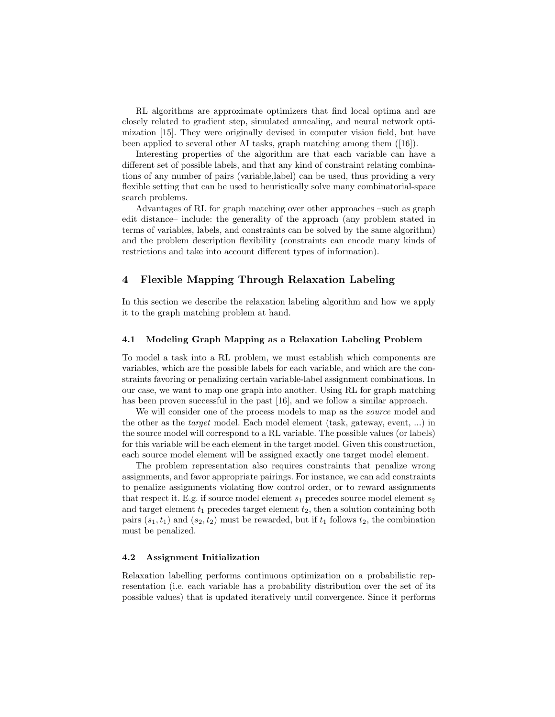RL algorithms are approximate optimizers that find local optima and are closely related to gradient step, simulated annealing, and neural network optimization [15]. They were originally devised in computer vision field, but have been applied to several other AI tasks, graph matching among them ([16]).

Interesting properties of the algorithm are that each variable can have a different set of possible labels, and that any kind of constraint relating combinations of any number of pairs (variable,label) can be used, thus providing a very flexible setting that can be used to heuristically solve many combinatorial-space search problems.

Advantages of RL for graph matching over other approaches –such as graph edit distance– include: the generality of the approach (any problem stated in terms of variables, labels, and constraints can be solved by the same algorithm) and the problem description flexibility (constraints can encode many kinds of restrictions and take into account different types of information).

## 4 Flexible Mapping Through Relaxation Labeling

In this section we describe the relaxation labeling algorithm and how we apply it to the graph matching problem at hand.

#### 4.1 Modeling Graph Mapping as a Relaxation Labeling Problem

To model a task into a RL problem, we must establish which components are variables, which are the possible labels for each variable, and which are the constraints favoring or penalizing certain variable-label assignment combinations. In our case, we want to map one graph into another. Using RL for graph matching has been proven successful in the past [16], and we follow a similar approach.

We will consider one of the process models to map as the *source* model and the other as the target model. Each model element (task, gateway, event, ...) in the source model will correspond to a RL variable. The possible values (or labels) for this variable will be each element in the target model. Given this construction, each source model element will be assigned exactly one target model element.

The problem representation also requires constraints that penalize wrong assignments, and favor appropriate pairings. For instance, we can add constraints to penalize assignments violating flow control order, or to reward assignments that respect it. E.g. if source model element  $s_1$  precedes source model element  $s_2$ and target element  $t_1$  precedes target element  $t_2$ , then a solution containing both pairs  $(s_1, t_1)$  and  $(s_2, t_2)$  must be rewarded, but if  $t_1$  follows  $t_2$ , the combination must be penalized.

#### 4.2 Assignment Initialization

Relaxation labelling performs continuous optimization on a probabilistic representation (i.e. each variable has a probability distribution over the set of its possible values) that is updated iteratively until convergence. Since it performs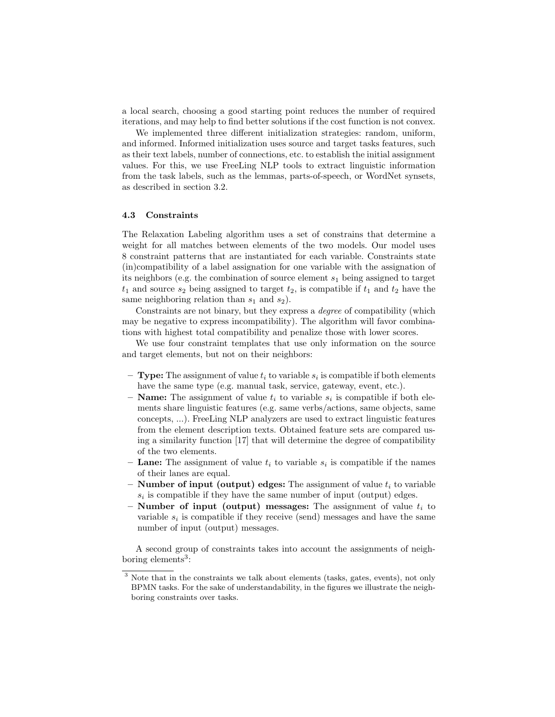a local search, choosing a good starting point reduces the number of required iterations, and may help to find better solutions if the cost function is not convex.

We implemented three different initialization strategies: random, uniform, and informed. Informed initialization uses source and target tasks features, such as their text labels, number of connections, etc. to establish the initial assignment values. For this, we use FreeLing NLP tools to extract linguistic information from the task labels, such as the lemmas, parts-of-speech, or WordNet synsets, as described in section 3.2.

#### 4.3 Constraints

The Relaxation Labeling algorithm uses a set of constrains that determine a weight for all matches between elements of the two models. Our model uses 8 constraint patterns that are instantiated for each variable. Constraints state (in)compatibility of a label assignation for one variable with the assignation of its neighbors (e.g. the combination of source element  $s_1$  being assigned to target  $t_1$  and source  $s_2$  being assigned to target  $t_2$ , is compatible if  $t_1$  and  $t_2$  have the same neighboring relation than  $s_1$  and  $s_2$ ).

Constraints are not binary, but they express a degree of compatibility (which may be negative to express incompatibility). The algorithm will favor combinations with highest total compatibility and penalize those with lower scores.

We use four constraint templates that use only information on the source and target elements, but not on their neighbors:

- **Type:** The assignment of value  $t_i$  to variable  $s_i$  is compatible if both elements have the same type (e.g. manual task, service, gateway, event, etc.).
- **Name:** The assignment of value  $t_i$  to variable  $s_i$  is compatible if both elements share linguistic features (e.g. same verbs/actions, same objects, same concepts, ...). FreeLing NLP analyzers are used to extract linguistic features from the element description texts. Obtained feature sets are compared using a similarity function [17] that will determine the degree of compatibility of the two elements.
- Lane: The assignment of value  $t_i$  to variable  $s_i$  is compatible if the names of their lanes are equal.
- **Number of input (output) edges:** The assignment of value  $t_i$  to variable  $s_i$  is compatible if they have the same number of input (output) edges.
- Number of input (output) messages: The assignment of value  $t_i$  to variable  $s_i$  is compatible if they receive (send) messages and have the same number of input (output) messages.

A second group of constraints takes into account the assignments of neighboring elements<sup>3</sup>:

<sup>&</sup>lt;sup>3</sup> Note that in the constraints we talk about elements (tasks, gates, events), not only BPMN tasks. For the sake of understandability, in the figures we illustrate the neighboring constraints over tasks.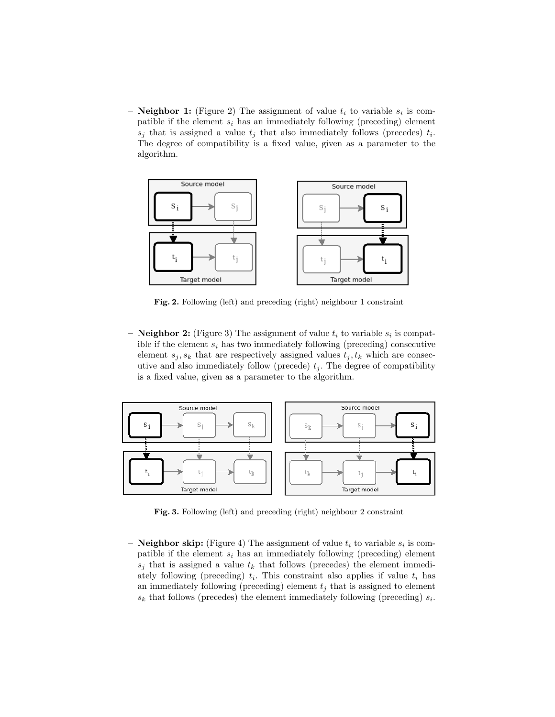- **Neighbor 1:** (Figure 2) The assignment of value  $t_i$  to variable  $s_i$  is compatible if the element  $s_i$  has an immediately following (preceding) element  $s_j$  that is assigned a value  $t_j$  that also immediately follows (precedes)  $t_i$ . The degree of compatibility is a fixed value, given as a parameter to the algorithm.



Fig. 2. Following (left) and preceding (right) neighbour 1 constraint

- Neighbor 2: (Figure 3) The assignment of value  $t_i$  to variable  $s_i$  is compatible if the element  $s_i$  has two immediately following (preceding) consecutive element  $s_i, s_k$  that are respectively assigned values  $t_i, t_k$  which are consecutive and also immediately follow (precede)  $t_j$ . The degree of compatibility is a fixed value, given as a parameter to the algorithm.



Fig. 3. Following (left) and preceding (right) neighbour 2 constraint

- **Neighbor skip:** (Figure 4) The assignment of value  $t_i$  to variable  $s_i$  is compatible if the element  $s_i$  has an immediately following (preceding) element  $s_j$  that is assigned a value  $t_k$  that follows (precedes) the element immediately following (preceding)  $t_i$ . This constraint also applies if value  $t_i$  has an immediately following (preceding) element  $t_j$  that is assigned to element  $s_k$  that follows (precedes) the element immediately following (preceding)  $s_i$ .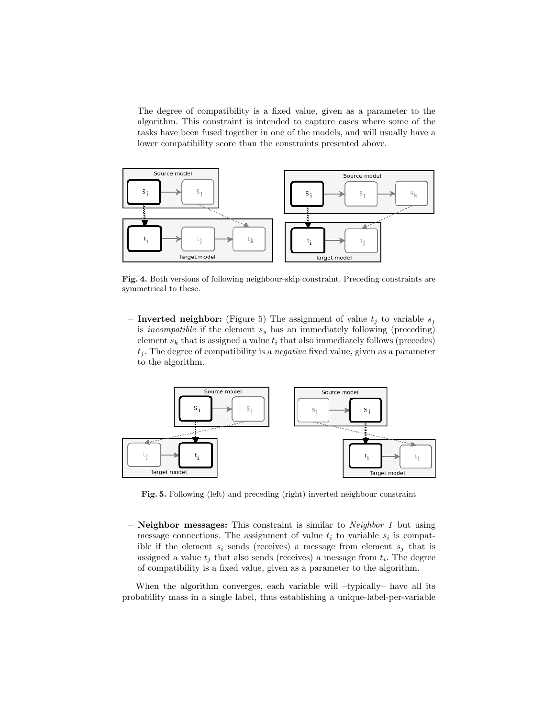The degree of compatibility is a fixed value, given as a parameter to the algorithm. This constraint is intended to capture cases where some of the tasks have been fused together in one of the models, and will usually have a lower compatibility score than the constraints presented above.



Fig. 4. Both versions of following neighbour-skip constraint. Preceding constraints are symmetrical to these.

– Inverted neighbor: (Figure 5) The assignment of value  $t_i$  to variable  $s_i$ is incompatible if the element  $s_s$  has an immediately following (preceding) element  $s_k$  that is assigned a value  $t_i$  that also immediately follows (precedes)  $t_j$ . The degree of compatibility is a *negative* fixed value, given as a parameter to the algorithm.



Fig. 5. Following (left) and preceding (right) inverted neighbour constraint

– **Neighbor messages:** This constraint is similar to *Neighbor 1* but using message connections. The assignment of value  $t_i$  to variable  $s_i$  is compatible if the element  $s_i$  sends (receives) a message from element  $s_j$  that is assigned a value  $t_j$  that also sends (receives) a message from  $t_i$ . The degree of compatibility is a fixed value, given as a parameter to the algorithm.

When the algorithm converges, each variable will –typically– have all its probability mass in a single label, thus establishing a unique-label-per-variable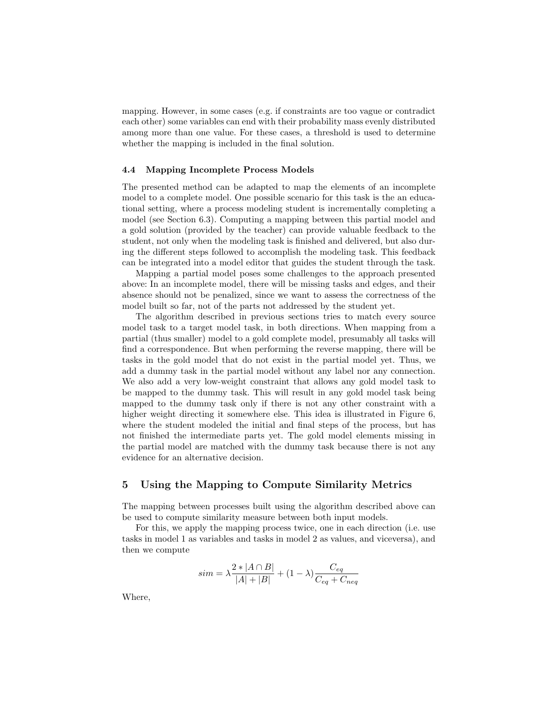mapping. However, in some cases (e.g. if constraints are too vague or contradict each other) some variables can end with their probability mass evenly distributed among more than one value. For these cases, a threshold is used to determine whether the mapping is included in the final solution.

### 4.4 Mapping Incomplete Process Models

The presented method can be adapted to map the elements of an incomplete model to a complete model. One possible scenario for this task is the an educational setting, where a process modeling student is incrementally completing a model (see Section 6.3). Computing a mapping between this partial model and a gold solution (provided by the teacher) can provide valuable feedback to the student, not only when the modeling task is finished and delivered, but also during the different steps followed to accomplish the modeling task. This feedback can be integrated into a model editor that guides the student through the task.

Mapping a partial model poses some challenges to the approach presented above: In an incomplete model, there will be missing tasks and edges, and their absence should not be penalized, since we want to assess the correctness of the model built so far, not of the parts not addressed by the student yet.

The algorithm described in previous sections tries to match every source model task to a target model task, in both directions. When mapping from a partial (thus smaller) model to a gold complete model, presumably all tasks will find a correspondence. But when performing the reverse mapping, there will be tasks in the gold model that do not exist in the partial model yet. Thus, we add a dummy task in the partial model without any label nor any connection. We also add a very low-weight constraint that allows any gold model task to be mapped to the dummy task. This will result in any gold model task being mapped to the dummy task only if there is not any other constraint with a higher weight directing it somewhere else. This idea is illustrated in Figure 6, where the student modeled the initial and final steps of the process, but has not finished the intermediate parts yet. The gold model elements missing in the partial model are matched with the dummy task because there is not any evidence for an alternative decision.

## 5 Using the Mapping to Compute Similarity Metrics

The mapping between processes built using the algorithm described above can be used to compute similarity measure between both input models.

For this, we apply the mapping process twice, one in each direction (i.e. use tasks in model 1 as variables and tasks in model 2 as values, and viceversa), and then we compute

$$
sim = \lambda \frac{2 * |A \cap B|}{|A| + |B|} + (1 - \lambda) \frac{C_{eq}}{C_{eq} + C_{neq}}
$$

Where,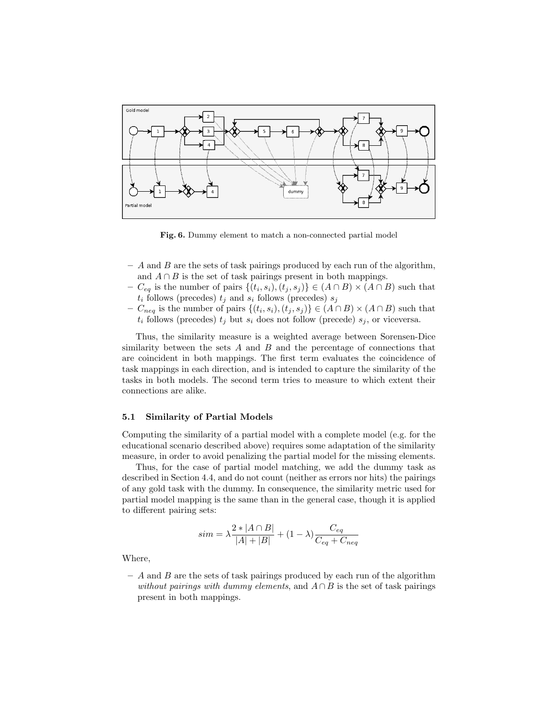

Fig. 6. Dummy element to match a non-connected partial model

- $-$  A and B are the sets of task pairings produced by each run of the algorithm, and  $A \cap B$  is the set of task pairings present in both mappings.
- $C_{eq}$  is the number of pairs  $\{(t_i, s_i), (t_j, s_j)\} \in (A \cap B) \times (A \cap B)$  such that  $t_i$  follows (precedes)  $t_j$  and  $s_i$  follows (precedes)  $s_j$
- $C_{neq}$  is the number of pairs  $\{(t_i, s_i), (t_j, s_j)\} \in (A \cap B) \times (A \cap B)$  such that  $t_i$  follows (precedes)  $t_j$  but  $s_i$  does not follow (precede)  $s_j$ , or viceversa.

Thus, the similarity measure is a weighted average between Sorensen-Dice similarity between the sets  $A$  and  $B$  and the percentage of connections that are coincident in both mappings. The first term evaluates the coincidence of task mappings in each direction, and is intended to capture the similarity of the tasks in both models. The second term tries to measure to which extent their connections are alike.

#### 5.1 Similarity of Partial Models

Computing the similarity of a partial model with a complete model (e.g. for the educational scenario described above) requires some adaptation of the similarity measure, in order to avoid penalizing the partial model for the missing elements.

Thus, for the case of partial model matching, we add the dummy task as described in Section 4.4, and do not count (neither as errors nor hits) the pairings of any gold task with the dummy. In consequence, the similarity metric used for partial model mapping is the same than in the general case, though it is applied to different pairing sets:

$$
sim = \lambda \frac{2 * |A \cap B|}{|A| + |B|} + (1 - \lambda) \frac{C_{eq}}{C_{eq} + C_{neq}}
$$

Where,

 $-$  A and B are the sets of task pairings produced by each run of the algorithm without pairings with dummy elements, and  $A \cap B$  is the set of task pairings present in both mappings.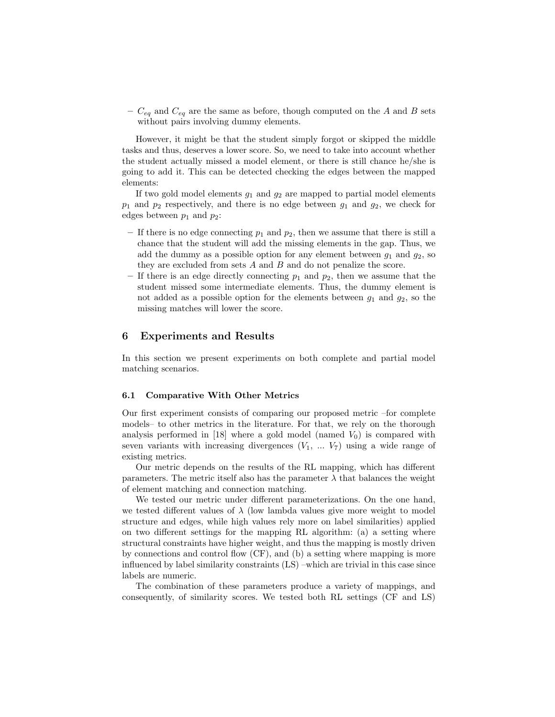$-C_{eq}$  and  $C_{eq}$  are the same as before, though computed on the A and B sets without pairs involving dummy elements.

However, it might be that the student simply forgot or skipped the middle tasks and thus, deserves a lower score. So, we need to take into account whether the student actually missed a model element, or there is still chance he/she is going to add it. This can be detected checking the edges between the mapped elements:

If two gold model elements  $g_1$  and  $g_2$  are mapped to partial model elements  $p_1$  and  $p_2$  respectively, and there is no edge between  $g_1$  and  $g_2$ , we check for edges between  $p_1$  and  $p_2$ :

- If there is no edge connecting  $p_1$  and  $p_2$ , then we assume that there is still a chance that the student will add the missing elements in the gap. Thus, we add the dummy as a possible option for any element between  $g_1$  and  $g_2$ , so they are excluded from sets A and B and do not penalize the score.
- If there is an edge directly connecting  $p_1$  and  $p_2$ , then we assume that the student missed some intermediate elements. Thus, the dummy element is not added as a possible option for the elements between  $g_1$  and  $g_2$ , so the missing matches will lower the score.

## 6 Experiments and Results

In this section we present experiments on both complete and partial model matching scenarios.

#### 6.1 Comparative With Other Metrics

Our first experiment consists of comparing our proposed metric –for complete models– to other metrics in the literature. For that, we rely on the thorough analysis performed in [18] where a gold model (named  $V_0$ ) is compared with seven variants with increasing divergences  $(V_1, \ldots V_7)$  using a wide range of existing metrics.

Our metric depends on the results of the RL mapping, which has different parameters. The metric itself also has the parameter  $\lambda$  that balances the weight of element matching and connection matching.

We tested our metric under different parameterizations. On the one hand, we tested different values of  $\lambda$  (low lambda values give more weight to model structure and edges, while high values rely more on label similarities) applied on two different settings for the mapping RL algorithm: (a) a setting where structural constraints have higher weight, and thus the mapping is mostly driven by connections and control flow (CF), and (b) a setting where mapping is more influenced by label similarity constraints (LS) –which are trivial in this case since labels are numeric.

The combination of these parameters produce a variety of mappings, and consequently, of similarity scores. We tested both RL settings (CF and LS)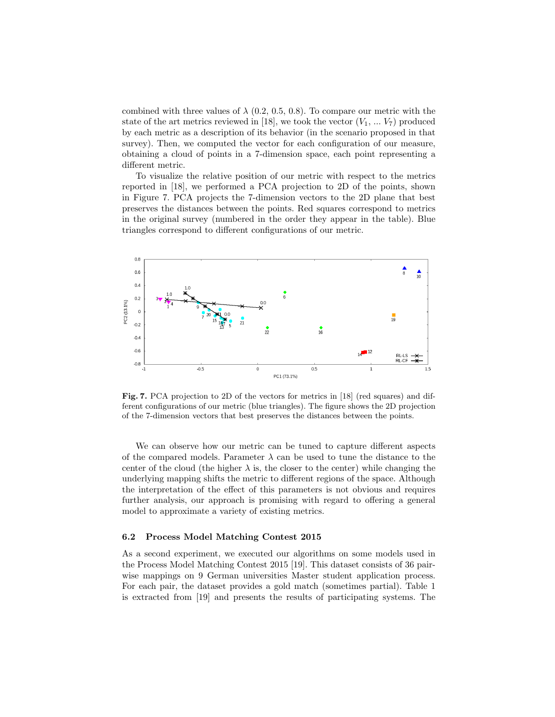combined with three values of  $\lambda$  (0.2, 0.5, 0.8). To compare our metric with the state of the art metrics reviewed in [18], we took the vector  $(V_1, \ldots V_7)$  produced by each metric as a description of its behavior (in the scenario proposed in that survey). Then, we computed the vector for each configuration of our measure, obtaining a cloud of points in a 7-dimension space, each point representing a different metric.

To visualize the relative position of our metric with respect to the metrics reported in [18], we performed a PCA projection to 2D of the points, shown in Figure 7. PCA projects the 7-dimension vectors to the 2D plane that best preserves the distances between the points. Red squares correspond to metrics in the original survey (numbered in the order they appear in the table). Blue triangles correspond to different configurations of our metric.



Fig. 7. PCA projection to 2D of the vectors for metrics in [18] (red squares) and different configurations of our metric (blue triangles). The figure shows the 2D projection of the 7-dimension vectors that best preserves the distances between the points.

We can observe how our metric can be tuned to capture different aspects of the compared models. Parameter  $\lambda$  can be used to tune the distance to the center of the cloud (the higher  $\lambda$  is, the closer to the center) while changing the underlying mapping shifts the metric to different regions of the space. Although the interpretation of the effect of this parameters is not obvious and requires further analysis, our approach is promising with regard to offering a general model to approximate a variety of existing metrics.

#### 6.2 Process Model Matching Contest 2015

As a second experiment, we executed our algorithms on some models used in the Process Model Matching Contest 2015 [19]. This dataset consists of 36 pairwise mappings on 9 German universities Master student application process. For each pair, the dataset provides a gold match (sometimes partial). Table 1 is extracted from [19] and presents the results of participating systems. The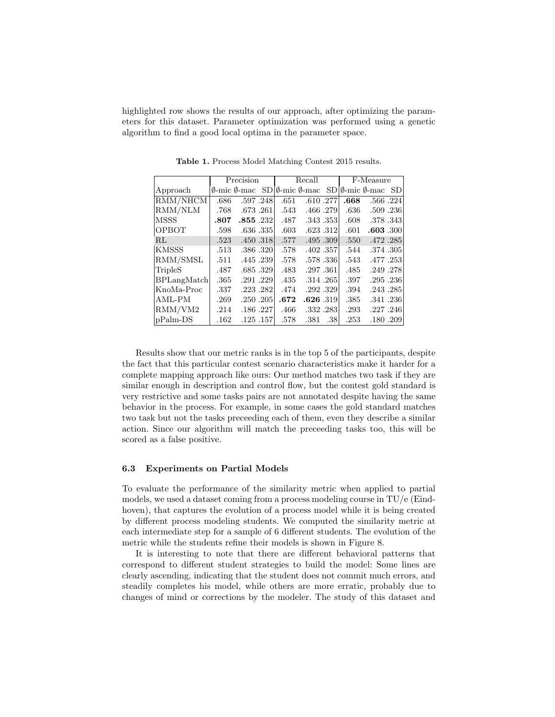highlighted row shows the results of our approach, after optimizing the parameters for this dataset. Parameter optimization was performed using a genetic algorithm to find a good local optima in the parameter space.

|                    | Precision |                                   |               | Recall |                                      |               | F-Measure |                                                |    |
|--------------------|-----------|-----------------------------------|---------------|--------|--------------------------------------|---------------|-----------|------------------------------------------------|----|
| Approach           |           | $\emptyset$ -mic $\emptyset$ -mac |               |        | $SD \emptyset$ -mic $\emptyset$ -mac |               |           | $SD \emptyset\text{-mic }\emptyset\text{-mac}$ | SD |
| RMM/NHCM           | .686      |                                   | .597.248      | .651   | .610.277                             |               | .668      | .566.224                                       |    |
| RMM/NLM            | .768      |                                   | .673.261      | .543   | .466.279                             |               | .636      | .509.236                                       |    |
| <b>MSSS</b>        | .807      | $.855$ . $.232$                   |               | .487   | .343.353                             |               | .608      | .378.343                                       |    |
| OPBOT              | .598      |                                   | .636.335      | .603   |                                      | $.623$ $.312$ | .601      | .603.300                                       |    |
| RL                 | .523      |                                   | .450.318      | .577   |                                      | .495.309      | .550      | .472.285                                       |    |
| <b>KMSSS</b>       | .513      |                                   | .386.320      | .578   | $.402$ $.357$                        |               | .544      | .374.305                                       |    |
| RMM/SMSL           | .511      |                                   | .445.239      | .578   | .578.336                             |               | .543      | .477.253                                       |    |
| <b>TripleS</b>     | .487      |                                   | .685.329      | .483   | .297.361                             |               | .485      | .249.278                                       |    |
| <b>BPLangMatch</b> | .365      |                                   | .291.229      | .435   | .314.265                             |               | .397      | .295.236                                       |    |
| KnoMa-Proc         | .337      |                                   | $.223$ $.282$ | .474   | .292.329                             |               | .394      | .243.285                                       |    |
| AML-PM             | .269      |                                   | .250.205      | .672   | $.626$ $.319$                        |               | .385      | .341.236                                       |    |
| RMM/VM2            | .214      |                                   | .186.227      | .466   | .332.283                             |               | .293      | .227.246                                       |    |
| pPalm-DS           | .162      |                                   | .125.157      | .578   | .381                                 | .38           | .253      | .180.209                                       |    |

Table 1. Process Model Matching Contest 2015 results.

Results show that our metric ranks is in the top 5 of the participants, despite the fact that this particular contest scenario characteristics make it harder for a complete mapping approach like ours: Our method matches two task if they are similar enough in description and control flow, but the contest gold standard is very restrictive and some tasks pairs are not annotated despite having the same behavior in the process. For example, in some cases the gold standard matches two task but not the tasks preceeding each of them, even they describe a similar action. Since our algorithm will match the preceeding tasks too, this will be scored as a false positive.

#### 6.3 Experiments on Partial Models

To evaluate the performance of the similarity metric when applied to partial models, we used a dataset coming from a process modeling course in TU/e (Eindhoven), that captures the evolution of a process model while it is being created by different process modeling students. We computed the similarity metric at each intermediate step for a sample of 6 different students. The evolution of the metric while the students refine their models is shown in Figure 8.

It is interesting to note that there are different behavioral patterns that correspond to different student strategies to build the model: Some lines are clearly ascending, indicating that the student does not commit much errors, and steadily completes his model, while others are more erratic, probably due to changes of mind or corrections by the modeler. The study of this dataset and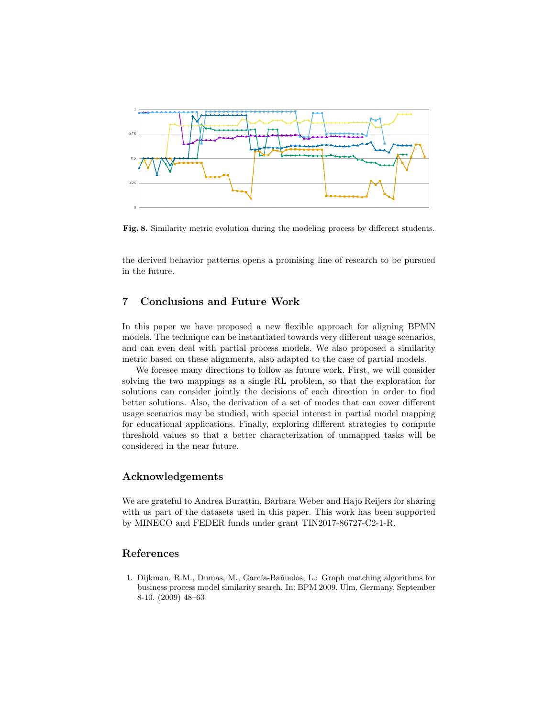

Fig. 8. Similarity metric evolution during the modeling process by different students.

the derived behavior patterns opens a promising line of research to be pursued in the future.

## 7 Conclusions and Future Work

In this paper we have proposed a new flexible approach for aligning BPMN models. The technique can be instantiated towards very different usage scenarios, and can even deal with partial process models. We also proposed a similarity metric based on these alignments, also adapted to the case of partial models.

We foresee many directions to follow as future work. First, we will consider solving the two mappings as a single RL problem, so that the exploration for solutions can consider jointly the decisions of each direction in order to find better solutions. Also, the derivation of a set of modes that can cover different usage scenarios may be studied, with special interest in partial model mapping for educational applications. Finally, exploring different strategies to compute threshold values so that a better characterization of unmapped tasks will be considered in the near future.

## Acknowledgements

We are grateful to Andrea Burattin, Barbara Weber and Hajo Reijers for sharing with us part of the datasets used in this paper. This work has been supported by MINECO and FEDER funds under grant TIN2017-86727-C2-1-R.

## References

1. Dijkman, R.M., Dumas, M., García-Bañuelos, L.: Graph matching algorithms for business process model similarity search. In: BPM 2009, Ulm, Germany, September 8-10. (2009) 48–63